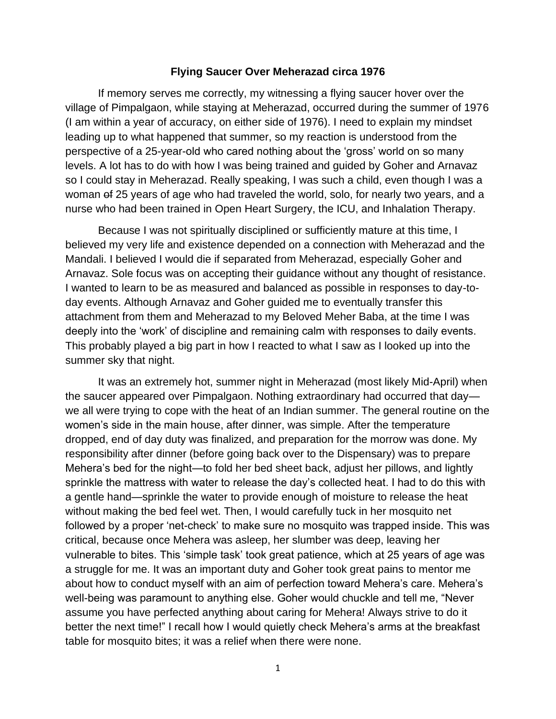## **Flying Saucer Over Meherazad circa 1976**

If memory serves me correctly, my witnessing a flying saucer hover over the village of Pimpalgaon, while staying at Meherazad, occurred during the summer of 1976 (I am within a year of accuracy, on either side of 1976). I need to explain my mindset leading up to what happened that summer, so my reaction is understood from the perspective of a 25-year-old who cared nothing about the 'gross' world on so many levels. A lot has to do with how I was being trained and guided by Goher and Arnavaz so I could stay in Meherazad. Really speaking, I was such a child, even though I was a woman of 25 years of age who had traveled the world, solo, for nearly two years, and a nurse who had been trained in Open Heart Surgery, the ICU, and Inhalation Therapy.

Because I was not spiritually disciplined or sufficiently mature at this time, I believed my very life and existence depended on a connection with Meherazad and the Mandali. I believed I would die if separated from Meherazad, especially Goher and Arnavaz. Sole focus was on accepting their guidance without any thought of resistance. I wanted to learn to be as measured and balanced as possible in responses to day-today events. Although Arnavaz and Goher guided me to eventually transfer this attachment from them and Meherazad to my Beloved Meher Baba, at the time I was deeply into the 'work' of discipline and remaining calm with responses to daily events. This probably played a big part in how I reacted to what I saw as I looked up into the summer sky that night.

It was an extremely hot, summer night in Meherazad (most likely Mid-April) when the saucer appeared over Pimpalgaon. Nothing extraordinary had occurred that day we all were trying to cope with the heat of an Indian summer. The general routine on the women's side in the main house, after dinner, was simple. After the temperature dropped, end of day duty was finalized, and preparation for the morrow was done. My responsibility after dinner (before going back over to the Dispensary) was to prepare Mehera's bed for the night—to fold her bed sheet back, adjust her pillows, and lightly sprinkle the mattress with water to release the day's collected heat. I had to do this with a gentle hand—sprinkle the water to provide enough of moisture to release the heat without making the bed feel wet. Then, I would carefully tuck in her mosquito net followed by a proper 'net-check' to make sure no mosquito was trapped inside. This was critical, because once Mehera was asleep, her slumber was deep, leaving her vulnerable to bites. This 'simple task' took great patience, which at 25 years of age was a struggle for me. It was an important duty and Goher took great pains to mentor me about how to conduct myself with an aim of perfection toward Mehera's care. Mehera's well-being was paramount to anything else. Goher would chuckle and tell me, "Never assume you have perfected anything about caring for Mehera! Always strive to do it better the next time!" I recall how I would quietly check Mehera's arms at the breakfast table for mosquito bites; it was a relief when there were none.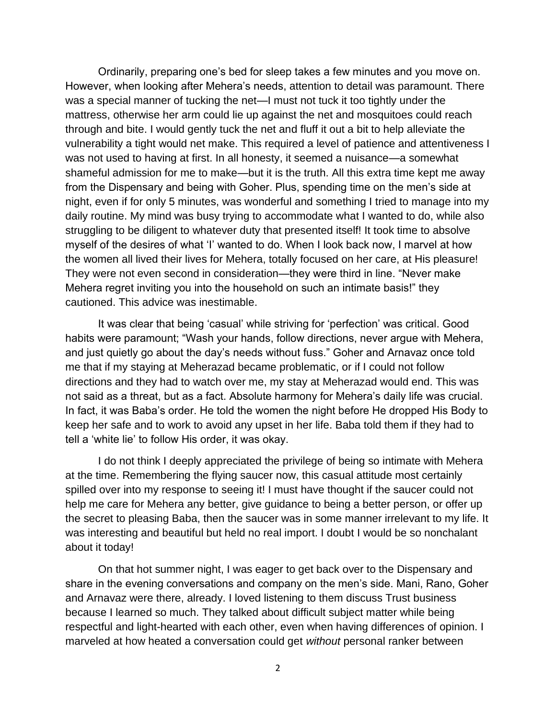Ordinarily, preparing one's bed for sleep takes a few minutes and you move on. However, when looking after Mehera's needs, attention to detail was paramount. There was a special manner of tucking the net—I must not tuck it too tightly under the mattress, otherwise her arm could lie up against the net and mosquitoes could reach through and bite. I would gently tuck the net and fluff it out a bit to help alleviate the vulnerability a tight would net make. This required a level of patience and attentiveness I was not used to having at first. In all honesty, it seemed a nuisance—a somewhat shameful admission for me to make—but it is the truth. All this extra time kept me away from the Dispensary and being with Goher. Plus, spending time on the men's side at night, even if for only 5 minutes, was wonderful and something I tried to manage into my daily routine. My mind was busy trying to accommodate what I wanted to do, while also struggling to be diligent to whatever duty that presented itself! It took time to absolve myself of the desires of what 'I' wanted to do. When I look back now, I marvel at how the women all lived their lives for Mehera, totally focused on her care, at His pleasure! They were not even second in consideration—they were third in line. "Never make Mehera regret inviting you into the household on such an intimate basis!" they cautioned. This advice was inestimable.

It was clear that being 'casual' while striving for 'perfection' was critical. Good habits were paramount; "Wash your hands, follow directions, never argue with Mehera, and just quietly go about the day's needs without fuss." Goher and Arnavaz once told me that if my staying at Meherazad became problematic, or if I could not follow directions and they had to watch over me, my stay at Meherazad would end. This was not said as a threat, but as a fact. Absolute harmony for Mehera's daily life was crucial. In fact, it was Baba's order. He told the women the night before He dropped His Body to keep her safe and to work to avoid any upset in her life. Baba told them if they had to tell a 'white lie' to follow His order, it was okay.

I do not think I deeply appreciated the privilege of being so intimate with Mehera at the time. Remembering the flying saucer now, this casual attitude most certainly spilled over into my response to seeing it! I must have thought if the saucer could not help me care for Mehera any better, give guidance to being a better person, or offer up the secret to pleasing Baba, then the saucer was in some manner irrelevant to my life. It was interesting and beautiful but held no real import. I doubt I would be so nonchalant about it today!

On that hot summer night, I was eager to get back over to the Dispensary and share in the evening conversations and company on the men's side. Mani, Rano, Goher and Arnavaz were there, already. I loved listening to them discuss Trust business because I learned so much. They talked about difficult subject matter while being respectful and light-hearted with each other, even when having differences of opinion. I marveled at how heated a conversation could get *without* personal ranker between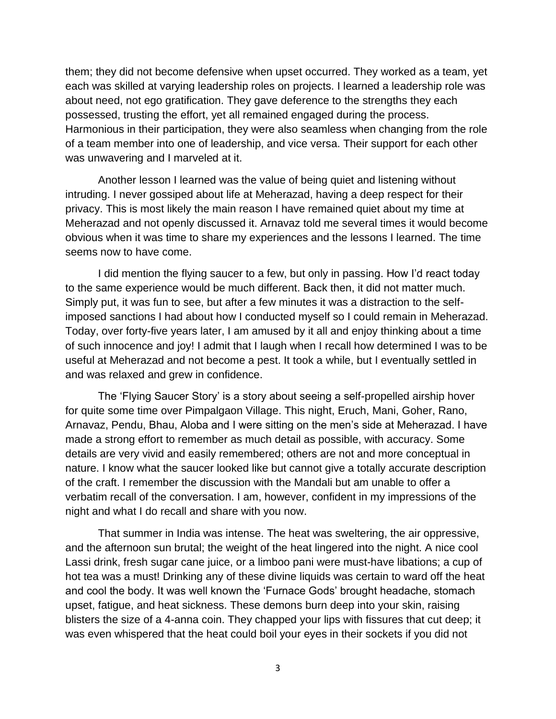them; they did not become defensive when upset occurred. They worked as a team, yet each was skilled at varying leadership roles on projects. I learned a leadership role was about need, not ego gratification. They gave deference to the strengths they each possessed, trusting the effort, yet all remained engaged during the process. Harmonious in their participation, they were also seamless when changing from the role of a team member into one of leadership, and vice versa. Their support for each other was unwavering and I marveled at it.

Another lesson I learned was the value of being quiet and listening without intruding. I never gossiped about life at Meherazad, having a deep respect for their privacy. This is most likely the main reason I have remained quiet about my time at Meherazad and not openly discussed it. Arnavaz told me several times it would become obvious when it was time to share my experiences and the lessons I learned. The time seems now to have come.

I did mention the flying saucer to a few, but only in passing. How I'd react today to the same experience would be much different. Back then, it did not matter much. Simply put, it was fun to see, but after a few minutes it was a distraction to the selfimposed sanctions I had about how I conducted myself so I could remain in Meherazad. Today, over forty-five years later, I am amused by it all and enjoy thinking about a time of such innocence and joy! I admit that I laugh when I recall how determined I was to be useful at Meherazad and not become a pest. It took a while, but I eventually settled in and was relaxed and grew in confidence.

The 'Flying Saucer Story' is a story about seeing a self-propelled airship hover for quite some time over Pimpalgaon Village. This night, Eruch, Mani, Goher, Rano, Arnavaz, Pendu, Bhau, Aloba and I were sitting on the men's side at Meherazad. I have made a strong effort to remember as much detail as possible, with accuracy. Some details are very vivid and easily remembered; others are not and more conceptual in nature. I know what the saucer looked like but cannot give a totally accurate description of the craft. I remember the discussion with the Mandali but am unable to offer a verbatim recall of the conversation. I am, however, confident in my impressions of the night and what I do recall and share with you now.

That summer in India was intense. The heat was sweltering, the air oppressive, and the afternoon sun brutal; the weight of the heat lingered into the night. A nice cool Lassi drink, fresh sugar cane juice, or a limboo pani were must-have libations; a cup of hot tea was a must! Drinking any of these divine liquids was certain to ward off the heat and cool the body. It was well known the 'Furnace Gods' brought headache, stomach upset, fatigue, and heat sickness. These demons burn deep into your skin, raising blisters the size of a 4-anna coin. They chapped your lips with fissures that cut deep; it was even whispered that the heat could boil your eyes in their sockets if you did not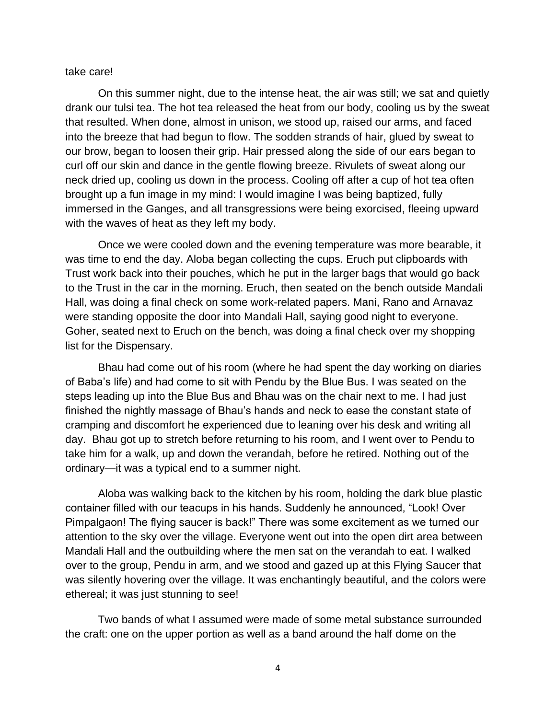## take care!

On this summer night, due to the intense heat, the air was still; we sat and quietly drank our tulsi tea. The hot tea released the heat from our body, cooling us by the sweat that resulted. When done, almost in unison, we stood up, raised our arms, and faced into the breeze that had begun to flow. The sodden strands of hair, glued by sweat to our brow, began to loosen their grip. Hair pressed along the side of our ears began to curl off our skin and dance in the gentle flowing breeze. Rivulets of sweat along our neck dried up, cooling us down in the process. Cooling off after a cup of hot tea often brought up a fun image in my mind: I would imagine I was being baptized, fully immersed in the Ganges, and all transgressions were being exorcised, fleeing upward with the waves of heat as they left my body.

Once we were cooled down and the evening temperature was more bearable, it was time to end the day. Aloba began collecting the cups. Eruch put clipboards with Trust work back into their pouches, which he put in the larger bags that would go back to the Trust in the car in the morning. Eruch, then seated on the bench outside Mandali Hall, was doing a final check on some work-related papers. Mani, Rano and Arnavaz were standing opposite the door into Mandali Hall, saying good night to everyone. Goher, seated next to Eruch on the bench, was doing a final check over my shopping list for the Dispensary.

Bhau had come out of his room (where he had spent the day working on diaries of Baba's life) and had come to sit with Pendu by the Blue Bus. I was seated on the steps leading up into the Blue Bus and Bhau was on the chair next to me. I had just finished the nightly massage of Bhau's hands and neck to ease the constant state of cramping and discomfort he experienced due to leaning over his desk and writing all day. Bhau got up to stretch before returning to his room, and I went over to Pendu to take him for a walk, up and down the verandah, before he retired. Nothing out of the ordinary—it was a typical end to a summer night.

Aloba was walking back to the kitchen by his room, holding the dark blue plastic container filled with our teacups in his hands. Suddenly he announced, "Look! Over Pimpalgaon! The flying saucer is back!" There was some excitement as we turned our attention to the sky over the village. Everyone went out into the open dirt area between Mandali Hall and the outbuilding where the men sat on the verandah to eat. I walked over to the group, Pendu in arm, and we stood and gazed up at this Flying Saucer that was silently hovering over the village. It was enchantingly beautiful, and the colors were ethereal; it was just stunning to see!

Two bands of what I assumed were made of some metal substance surrounded the craft: one on the upper portion as well as a band around the half dome on the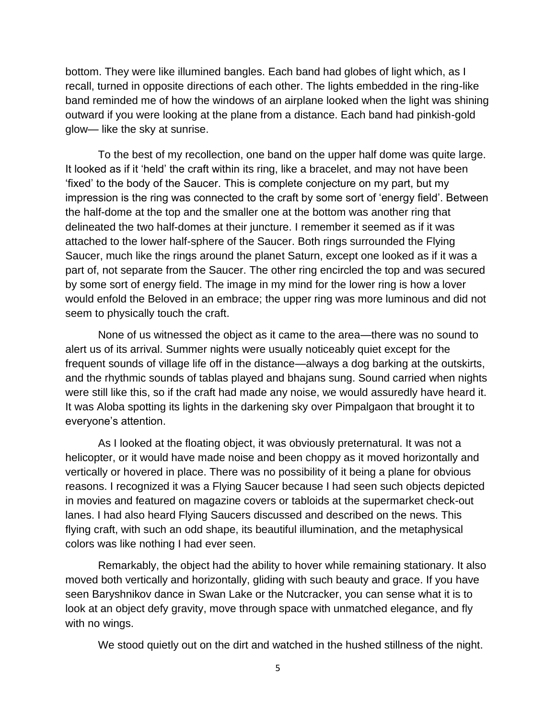bottom. They were like illumined bangles. Each band had globes of light which, as I recall, turned in opposite directions of each other. The lights embedded in the ring-like band reminded me of how the windows of an airplane looked when the light was shining outward if you were looking at the plane from a distance. Each band had pinkish-gold glow— like the sky at sunrise.

To the best of my recollection, one band on the upper half dome was quite large. It looked as if it 'held' the craft within its ring, like a bracelet, and may not have been 'fixed' to the body of the Saucer. This is complete conjecture on my part, but my impression is the ring was connected to the craft by some sort of 'energy field'. Between the half-dome at the top and the smaller one at the bottom was another ring that delineated the two half-domes at their juncture. I remember it seemed as if it was attached to the lower half-sphere of the Saucer. Both rings surrounded the Flying Saucer, much like the rings around the planet Saturn, except one looked as if it was a part of, not separate from the Saucer. The other ring encircled the top and was secured by some sort of energy field. The image in my mind for the lower ring is how a lover would enfold the Beloved in an embrace; the upper ring was more luminous and did not seem to physically touch the craft.

None of us witnessed the object as it came to the area—there was no sound to alert us of its arrival. Summer nights were usually noticeably quiet except for the frequent sounds of village life off in the distance—always a dog barking at the outskirts, and the rhythmic sounds of tablas played and bhajans sung. Sound carried when nights were still like this, so if the craft had made any noise, we would assuredly have heard it. It was Aloba spotting its lights in the darkening sky over Pimpalgaon that brought it to everyone's attention.

As I looked at the floating object, it was obviously preternatural. It was not a helicopter, or it would have made noise and been choppy as it moved horizontally and vertically or hovered in place. There was no possibility of it being a plane for obvious reasons. I recognized it was a Flying Saucer because I had seen such objects depicted in movies and featured on magazine covers or tabloids at the supermarket check-out lanes. I had also heard Flying Saucers discussed and described on the news. This flying craft, with such an odd shape, its beautiful illumination, and the metaphysical colors was like nothing I had ever seen.

Remarkably, the object had the ability to hover while remaining stationary. It also moved both vertically and horizontally, gliding with such beauty and grace. If you have seen Baryshnikov dance in Swan Lake or the Nutcracker, you can sense what it is to look at an object defy gravity, move through space with unmatched elegance, and fly with no wings.

We stood quietly out on the dirt and watched in the hushed stillness of the night.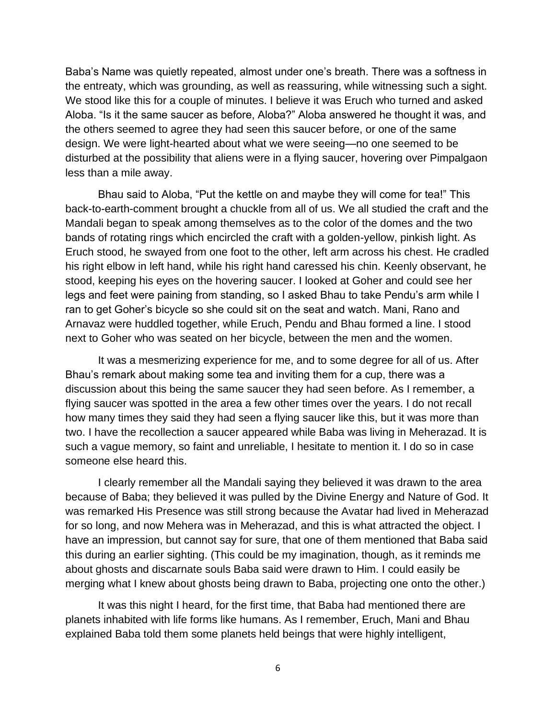Baba's Name was quietly repeated, almost under one's breath. There was a softness in the entreaty, which was grounding, as well as reassuring, while witnessing such a sight. We stood like this for a couple of minutes. I believe it was Eruch who turned and asked Aloba. "Is it the same saucer as before, Aloba?" Aloba answered he thought it was, and the others seemed to agree they had seen this saucer before, or one of the same design. We were light-hearted about what we were seeing—no one seemed to be disturbed at the possibility that aliens were in a flying saucer, hovering over Pimpalgaon less than a mile away.

Bhau said to Aloba, "Put the kettle on and maybe they will come for tea!" This back-to-earth-comment brought a chuckle from all of us. We all studied the craft and the Mandali began to speak among themselves as to the color of the domes and the two bands of rotating rings which encircled the craft with a golden-yellow, pinkish light. As Eruch stood, he swayed from one foot to the other, left arm across his chest. He cradled his right elbow in left hand, while his right hand caressed his chin. Keenly observant, he stood, keeping his eyes on the hovering saucer. I looked at Goher and could see her legs and feet were paining from standing, so I asked Bhau to take Pendu's arm while I ran to get Goher's bicycle so she could sit on the seat and watch. Mani, Rano and Arnavaz were huddled together, while Eruch, Pendu and Bhau formed a line. I stood next to Goher who was seated on her bicycle, between the men and the women.

It was a mesmerizing experience for me, and to some degree for all of us. After Bhau's remark about making some tea and inviting them for a cup, there was a discussion about this being the same saucer they had seen before. As I remember, a flying saucer was spotted in the area a few other times over the years. I do not recall how many times they said they had seen a flying saucer like this, but it was more than two. I have the recollection a saucer appeared while Baba was living in Meherazad. It is such a vague memory, so faint and unreliable, I hesitate to mention it. I do so in case someone else heard this.

I clearly remember all the Mandali saying they believed it was drawn to the area because of Baba; they believed it was pulled by the Divine Energy and Nature of God. It was remarked His Presence was still strong because the Avatar had lived in Meherazad for so long, and now Mehera was in Meherazad, and this is what attracted the object. I have an impression, but cannot say for sure, that one of them mentioned that Baba said this during an earlier sighting. (This could be my imagination, though, as it reminds me about ghosts and discarnate souls Baba said were drawn to Him. I could easily be merging what I knew about ghosts being drawn to Baba, projecting one onto the other.)

It was this night I heard, for the first time, that Baba had mentioned there are planets inhabited with life forms like humans. As I remember, Eruch, Mani and Bhau explained Baba told them some planets held beings that were highly intelligent,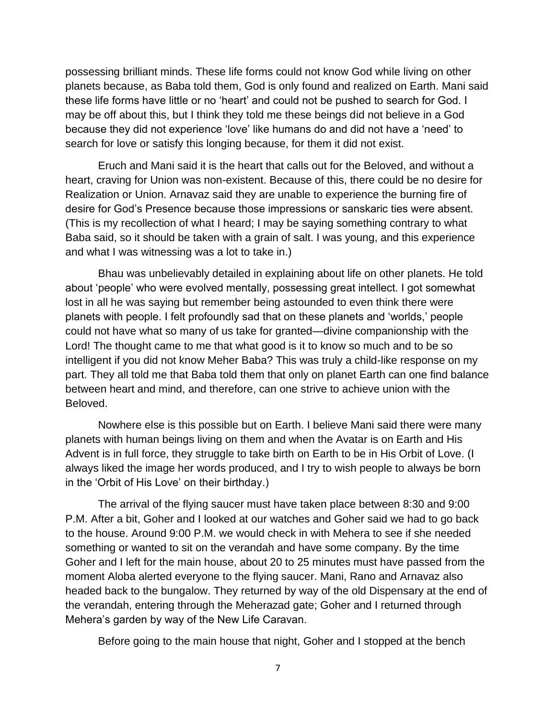possessing brilliant minds. These life forms could not know God while living on other planets because, as Baba told them, God is only found and realized on Earth. Mani said these life forms have little or no 'heart' and could not be pushed to search for God. I may be off about this, but I think they told me these beings did not believe in a God because they did not experience 'love' like humans do and did not have a 'need' to search for love or satisfy this longing because, for them it did not exist.

Eruch and Mani said it is the heart that calls out for the Beloved, and without a heart, craving for Union was non-existent. Because of this, there could be no desire for Realization or Union. Arnavaz said they are unable to experience the burning fire of desire for God's Presence because those impressions or sanskaric ties were absent. (This is my recollection of what I heard; I may be saying something contrary to what Baba said, so it should be taken with a grain of salt. I was young, and this experience and what I was witnessing was a lot to take in.)

Bhau was unbelievably detailed in explaining about life on other planets. He told about 'people' who were evolved mentally, possessing great intellect. I got somewhat lost in all he was saying but remember being astounded to even think there were planets with people. I felt profoundly sad that on these planets and 'worlds,' people could not have what so many of us take for granted—divine companionship with the Lord! The thought came to me that what good is it to know so much and to be so intelligent if you did not know Meher Baba? This was truly a child-like response on my part. They all told me that Baba told them that only on planet Earth can one find balance between heart and mind, and therefore, can one strive to achieve union with the Beloved.

Nowhere else is this possible but on Earth. I believe Mani said there were many planets with human beings living on them and when the Avatar is on Earth and His Advent is in full force, they struggle to take birth on Earth to be in His Orbit of Love. (I always liked the image her words produced, and I try to wish people to always be born in the 'Orbit of His Love' on their birthday.)

The arrival of the flying saucer must have taken place between 8:30 and 9:00 P.M. After a bit, Goher and I looked at our watches and Goher said we had to go back to the house. Around 9:00 P.M. we would check in with Mehera to see if she needed something or wanted to sit on the verandah and have some company. By the time Goher and I left for the main house, about 20 to 25 minutes must have passed from the moment Aloba alerted everyone to the flying saucer. Mani, Rano and Arnavaz also headed back to the bungalow. They returned by way of the old Dispensary at the end of the verandah, entering through the Meherazad gate; Goher and I returned through Mehera's garden by way of the New Life Caravan.

Before going to the main house that night, Goher and I stopped at the bench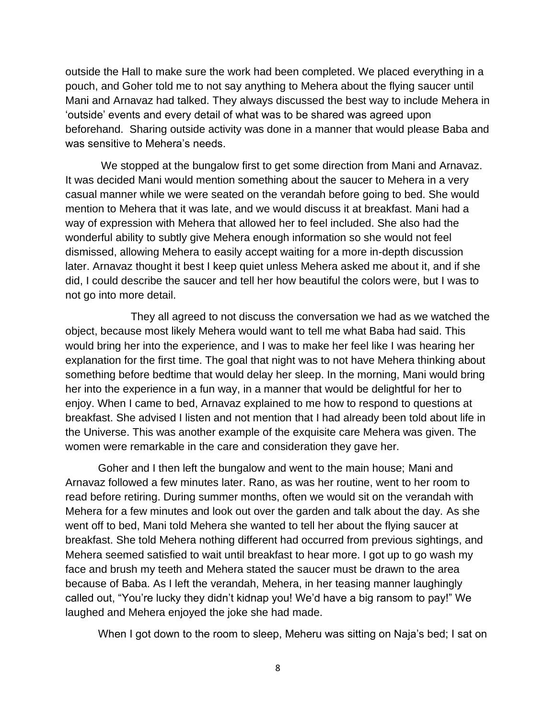outside the Hall to make sure the work had been completed. We placed everything in a pouch, and Goher told me to not say anything to Mehera about the flying saucer until Mani and Arnavaz had talked. They always discussed the best way to include Mehera in 'outside' events and every detail of what was to be shared was agreed upon beforehand. Sharing outside activity was done in a manner that would please Baba and was sensitive to Mehera's needs.

We stopped at the bungalow first to get some direction from Mani and Arnavaz. It was decided Mani would mention something about the saucer to Mehera in a very casual manner while we were seated on the verandah before going to bed. She would mention to Mehera that it was late, and we would discuss it at breakfast. Mani had a way of expression with Mehera that allowed her to feel included. She also had the wonderful ability to subtly give Mehera enough information so she would not feel dismissed, allowing Mehera to easily accept waiting for a more in-depth discussion later. Arnavaz thought it best I keep quiet unless Mehera asked me about it, and if she did, I could describe the saucer and tell her how beautiful the colors were, but I was to not go into more detail.

They all agreed to not discuss the conversation we had as we watched the object, because most likely Mehera would want to tell me what Baba had said. This would bring her into the experience, and I was to make her feel like I was hearing her explanation for the first time. The goal that night was to not have Mehera thinking about something before bedtime that would delay her sleep. In the morning, Mani would bring her into the experience in a fun way, in a manner that would be delightful for her to enjoy. When I came to bed, Arnavaz explained to me how to respond to questions at breakfast. She advised I listen and not mention that I had already been told about life in the Universe. This was another example of the exquisite care Mehera was given. The women were remarkable in the care and consideration they gave her.

Goher and I then left the bungalow and went to the main house; Mani and Arnavaz followed a few minutes later. Rano, as was her routine, went to her room to read before retiring. During summer months, often we would sit on the verandah with Mehera for a few minutes and look out over the garden and talk about the day. As she went off to bed, Mani told Mehera she wanted to tell her about the flying saucer at breakfast. She told Mehera nothing different had occurred from previous sightings, and Mehera seemed satisfied to wait until breakfast to hear more. I got up to go wash my face and brush my teeth and Mehera stated the saucer must be drawn to the area because of Baba. As I left the verandah, Mehera, in her teasing manner laughingly called out, "You're lucky they didn't kidnap you! We'd have a big ransom to pay!" We laughed and Mehera enjoyed the joke she had made.

When I got down to the room to sleep, Meheru was sitting on Naja's bed; I sat on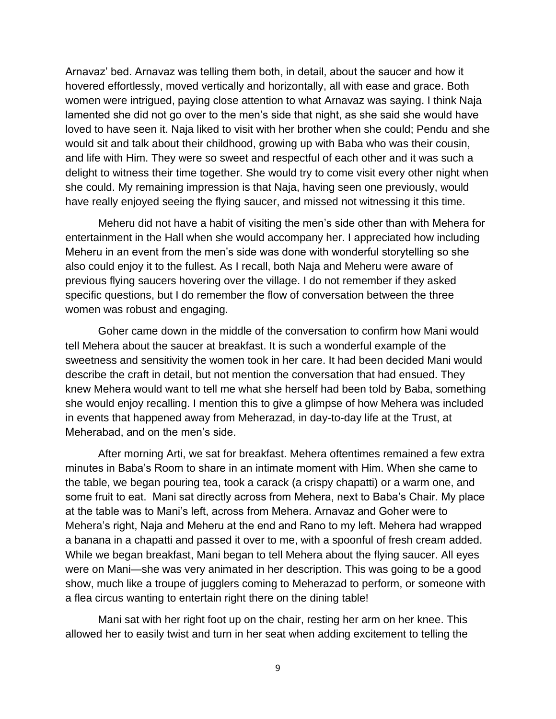Arnavaz' bed. Arnavaz was telling them both, in detail, about the saucer and how it hovered effortlessly, moved vertically and horizontally, all with ease and grace. Both women were intrigued, paying close attention to what Arnavaz was saying. I think Naja lamented she did not go over to the men's side that night, as she said she would have loved to have seen it. Naja liked to visit with her brother when she could; Pendu and she would sit and talk about their childhood, growing up with Baba who was their cousin, and life with Him. They were so sweet and respectful of each other and it was such a delight to witness their time together. She would try to come visit every other night when she could. My remaining impression is that Naja, having seen one previously, would have really enjoyed seeing the flying saucer, and missed not witnessing it this time.

Meheru did not have a habit of visiting the men's side other than with Mehera for entertainment in the Hall when she would accompany her. I appreciated how including Meheru in an event from the men's side was done with wonderful storytelling so she also could enjoy it to the fullest. As I recall, both Naja and Meheru were aware of previous flying saucers hovering over the village. I do not remember if they asked specific questions, but I do remember the flow of conversation between the three women was robust and engaging.

Goher came down in the middle of the conversation to confirm how Mani would tell Mehera about the saucer at breakfast. It is such a wonderful example of the sweetness and sensitivity the women took in her care. It had been decided Mani would describe the craft in detail, but not mention the conversation that had ensued. They knew Mehera would want to tell me what she herself had been told by Baba, something she would enjoy recalling. I mention this to give a glimpse of how Mehera was included in events that happened away from Meherazad, in day-to-day life at the Trust, at Meherabad, and on the men's side.

After morning Arti, we sat for breakfast. Mehera oftentimes remained a few extra minutes in Baba's Room to share in an intimate moment with Him. When she came to the table, we began pouring tea, took a carack (a crispy chapatti) or a warm one, and some fruit to eat. Mani sat directly across from Mehera, next to Baba's Chair. My place at the table was to Mani's left, across from Mehera. Arnavaz and Goher were to Mehera's right, Naja and Meheru at the end and Rano to my left. Mehera had wrapped a banana in a chapatti and passed it over to me, with a spoonful of fresh cream added. While we began breakfast, Mani began to tell Mehera about the flying saucer. All eyes were on Mani—she was very animated in her description. This was going to be a good show, much like a troupe of jugglers coming to Meherazad to perform, or someone with a flea circus wanting to entertain right there on the dining table!

Mani sat with her right foot up on the chair, resting her arm on her knee. This allowed her to easily twist and turn in her seat when adding excitement to telling the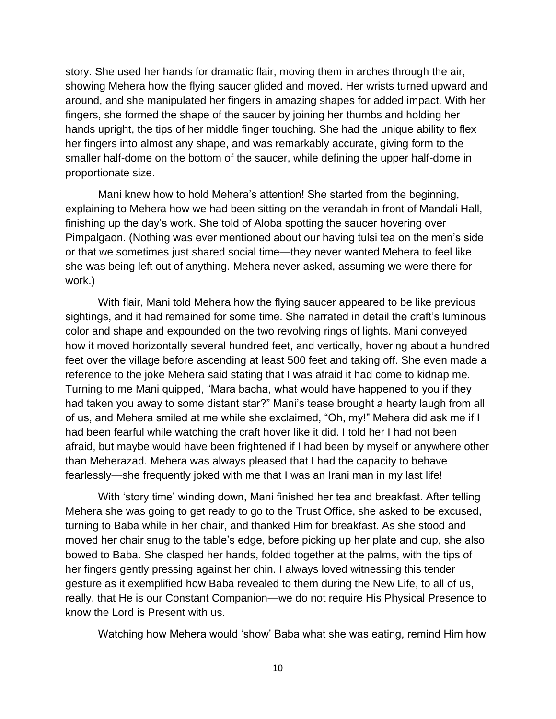story. She used her hands for dramatic flair, moving them in arches through the air, showing Mehera how the flying saucer glided and moved. Her wrists turned upward and around, and she manipulated her fingers in amazing shapes for added impact. With her fingers, she formed the shape of the saucer by joining her thumbs and holding her hands upright, the tips of her middle finger touching. She had the unique ability to flex her fingers into almost any shape, and was remarkably accurate, giving form to the smaller half-dome on the bottom of the saucer, while defining the upper half-dome in proportionate size.

Mani knew how to hold Mehera's attention! She started from the beginning, explaining to Mehera how we had been sitting on the verandah in front of Mandali Hall, finishing up the day's work. She told of Aloba spotting the saucer hovering over Pimpalgaon. (Nothing was ever mentioned about our having tulsi tea on the men's side or that we sometimes just shared social time—they never wanted Mehera to feel like she was being left out of anything. Mehera never asked, assuming we were there for work.)

With flair, Mani told Mehera how the flying saucer appeared to be like previous sightings, and it had remained for some time. She narrated in detail the craft's luminous color and shape and expounded on the two revolving rings of lights. Mani conveyed how it moved horizontally several hundred feet, and vertically, hovering about a hundred feet over the village before ascending at least 500 feet and taking off. She even made a reference to the joke Mehera said stating that I was afraid it had come to kidnap me. Turning to me Mani quipped, "Mara bacha, what would have happened to you if they had taken you away to some distant star?" Mani's tease brought a hearty laugh from all of us, and Mehera smiled at me while she exclaimed, "Oh, my!" Mehera did ask me if I had been fearful while watching the craft hover like it did. I told her I had not been afraid, but maybe would have been frightened if I had been by myself or anywhere other than Meherazad. Mehera was always pleased that I had the capacity to behave fearlessly—she frequently joked with me that I was an Irani man in my last life!

With 'story time' winding down, Mani finished her tea and breakfast. After telling Mehera she was going to get ready to go to the Trust Office, she asked to be excused, turning to Baba while in her chair, and thanked Him for breakfast. As she stood and moved her chair snug to the table's edge, before picking up her plate and cup, she also bowed to Baba. She clasped her hands, folded together at the palms, with the tips of her fingers gently pressing against her chin. I always loved witnessing this tender gesture as it exemplified how Baba revealed to them during the New Life, to all of us, really, that He is our Constant Companion—we do not require His Physical Presence to know the Lord is Present with us.

Watching how Mehera would 'show' Baba what she was eating, remind Him how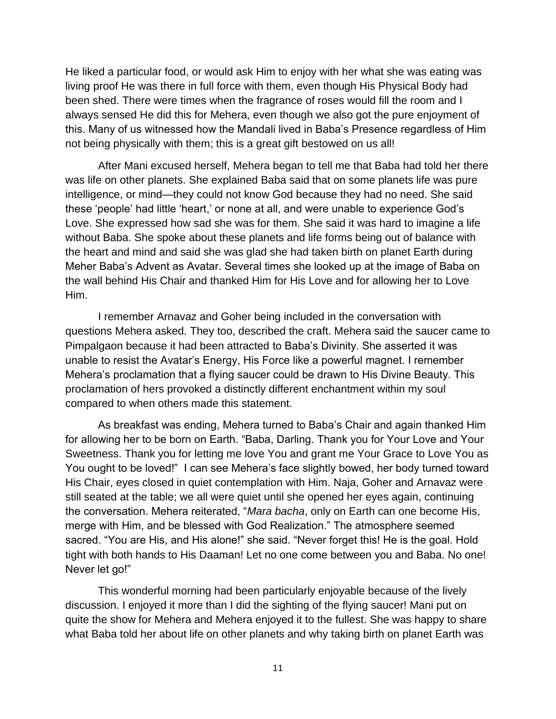He liked a particular food, or would ask Him to enjoy with her what she was eating was living proof He was there in full force with them, even though His Physical Body had been shed. There were times when the fragrance of roses would fill the room and I always sensed He did this for Mehera, even though we also got the pure enjoyment of this. Many of us witnessed how the Mandali lived in Baba's Presence regardless of Him not being physically with them; this is a great gift bestowed on us all!

After Mani excused herself, Mehera began to tell me that Baba had told her there was life on other planets. She explained Baba said that on some planets life was pure intelligence, or mind—they could not know God because they had no need. She said these 'people' had little 'heart,' or none at all, and were unable to experience God's Love. She expressed how sad she was for them. She said it was hard to imagine a life without Baba. She spoke about these planets and life forms being out of balance with the heart and mind and said she was glad she had taken birth on planet Earth during Meher Baba's Advent as Avatar. Several times she looked up at the image of Baba on the wall behind His Chair and thanked Him for His Love and for allowing her to Love Him.

I remember Arnavaz and Goher being included in the conversation with questions Mehera asked. They too, described the craft. Mehera said the saucer came to Pimpalgaon because it had been attracted to Baba's Divinity. She asserted it was unable to resist the Avatar's Energy, His Force like a powerful magnet. I remember Mehera's proclamation that a flying saucer could be drawn to His Divine Beauty. This proclamation of hers provoked a distinctly different enchantment within my soul compared to when others made this statement.

As breakfast was ending, Mehera turned to Baba's Chair and again thanked Him for allowing her to be born on Earth. "Baba, Darling. Thank you for Your Love and Your Sweetness. Thank you for letting me love You and grant me Your Grace to Love You as You ought to be loved!" I can see Mehera's face slightly bowed, her body turned toward His Chair, eyes closed in quiet contemplation with Him. Naja, Goher and Arnavaz were still seated at the table; we all were quiet until she opened her eyes again, continuing the conversation. Mehera reiterated, "*Mara bacha*, only on Earth can one become His, merge with Him, and be blessed with God Realization." The atmosphere seemed sacred. "You are His, and His alone!" she said. "Never forget this! He is the goal. Hold tight with both hands to His Daaman! Let no one come between you and Baba. No one! Never let go!"

This wonderful morning had been particularly enjoyable because of the lively discussion. I enjoyed it more than I did the sighting of the flying saucer! Mani put on quite the show for Mehera and Mehera enjoyed it to the fullest. She was happy to share what Baba told her about life on other planets and why taking birth on planet Earth was